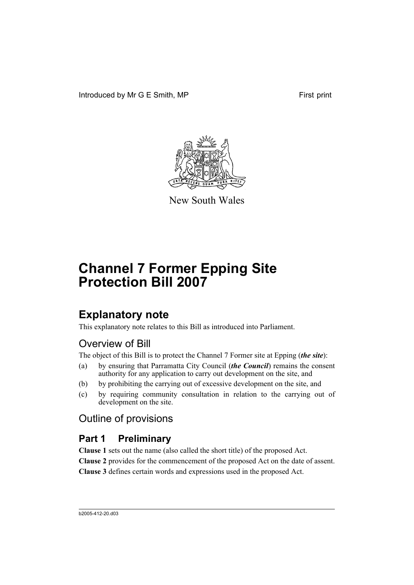Introduced by Mr G E Smith, MP First print



New South Wales

# **Channel 7 Former Epping Site Protection Bill 2007**

## **Explanatory note**

This explanatory note relates to this Bill as introduced into Parliament.

## Overview of Bill

The object of this Bill is to protect the Channel 7 Former site at Epping (*the site*):

- (a) by ensuring that Parramatta City Council (*the Council*) remains the consent authority for any application to carry out development on the site, and
- (b) by prohibiting the carrying out of excessive development on the site, and
- (c) by requiring community consultation in relation to the carrying out of development on the site.

## Outline of provisions

## **Part 1 Preliminary**

**Clause 1** sets out the name (also called the short title) of the proposed Act. **Clause 2** provides for the commencement of the proposed Act on the date of assent. **Clause 3** defines certain words and expressions used in the proposed Act.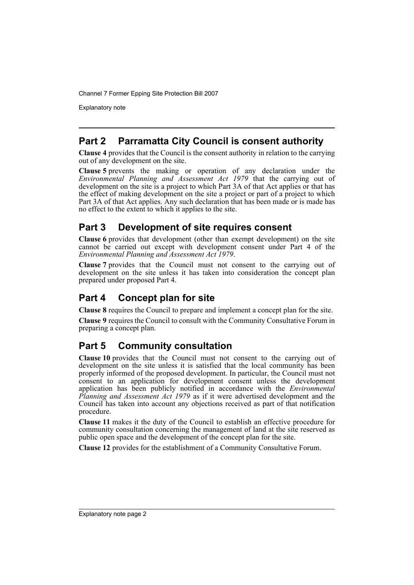Channel 7 Former Epping Site Protection Bill 2007

Explanatory note

## **Part 2 Parramatta City Council is consent authority**

**Clause 4** provides that the Council is the consent authority in relation to the carrying out of any development on the site.

**Clause 5** prevents the making or operation of any declaration under the *Environmental Planning and Assessment Act 1979* that the carrying out of development on the site is a project to which Part 3A of that Act applies or that has the effect of making development on the site a project or part of a project to which Part 3A of that Act applies. Any such declaration that has been made or is made has no effect to the extent to which it applies to the site.

## **Part 3 Development of site requires consent**

**Clause 6** provides that development (other than exempt development) on the site cannot be carried out except with development consent under Part 4 of the *Environmental Planning and Assessment Act 1979*.

**Clause 7** provides that the Council must not consent to the carrying out of development on the site unless it has taken into consideration the concept plan prepared under proposed Part 4.

## **Part 4 Concept plan for site**

**Clause 8** requires the Council to prepare and implement a concept plan for the site.

**Clause 9** requires the Council to consult with the Community Consultative Forum in preparing a concept plan.

## **Part 5 Community consultation**

**Clause 10** provides that the Council must not consent to the carrying out of development on the site unless it is satisfied that the local community has been properly informed of the proposed development. In particular, the Council must not consent to an application for development consent unless the development application has been publicly notified in accordance with the *Environmental Planning and Assessment Act 1979* as if it were advertised development and the Council has taken into account any objections received as part of that notification procedure.

**Clause 11** makes it the duty of the Council to establish an effective procedure for community consultation concerning the management of land at the site reserved as public open space and the development of the concept plan for the site.

**Clause 12** provides for the establishment of a Community Consultative Forum.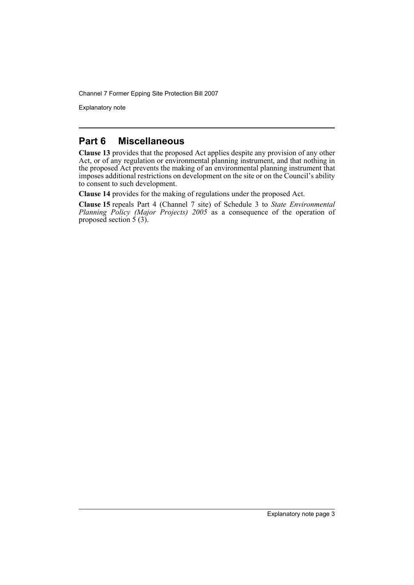Channel 7 Former Epping Site Protection Bill 2007

Explanatory note

### **Part 6 Miscellaneous**

**Clause 13** provides that the proposed Act applies despite any provision of any other Act, or of any regulation or environmental planning instrument, and that nothing in the proposed Act prevents the making of an environmental planning instrument that imposes additional restrictions on development on the site or on the Council's ability to consent to such development.

**Clause 14** provides for the making of regulations under the proposed Act.

**Clause 15** repeals Part 4 (Channel 7 site) of Schedule 3 to *State Environmental Planning Policy (Major Projects) 2005* as a consequence of the operation of proposed section  $\frac{1}{5}$  (3).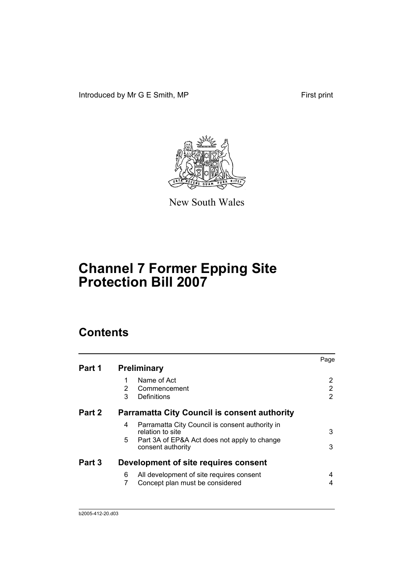Introduced by Mr G E Smith, MP First print



New South Wales

# **Channel 7 Former Epping Site Protection Bill 2007**

## **Contents**

|        |                                                                          | Page |
|--------|--------------------------------------------------------------------------|------|
| Part 1 | <b>Preliminary</b>                                                       |      |
|        | Name of Act<br>1                                                         | 2    |
|        | 2<br>Commencement                                                        | 2    |
|        | 3<br>Definitions                                                         | 2    |
| Part 2 | <b>Parramatta City Council is consent authority</b>                      |      |
|        | Parramatta City Council is consent authority in<br>4<br>relation to site | 3    |
|        | 5.<br>Part 3A of EP&A Act does not apply to change<br>consent authority  | 3    |
| Part 3 | Development of site requires consent                                     |      |
|        | All development of site requires consent<br>6                            | 4    |
|        | 7<br>Concept plan must be considered                                     | 4    |
|        |                                                                          |      |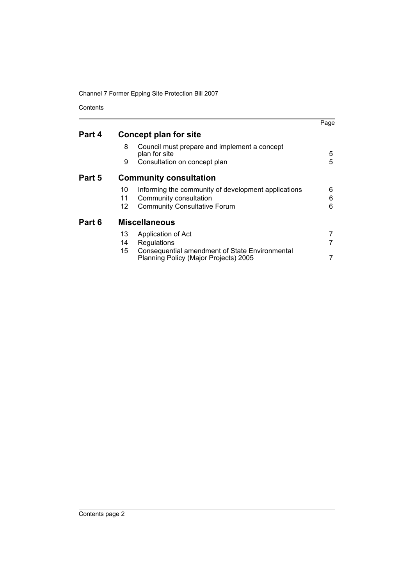Channel 7 Former Epping Site Protection Bill 2007

Contents

|        |                |                                                                                                                      | Page        |
|--------|----------------|----------------------------------------------------------------------------------------------------------------------|-------------|
| Part 4 |                | Concept plan for site                                                                                                |             |
|        | 8              | Council must prepare and implement a concept<br>plan for site                                                        | 5           |
|        | 9              | Consultation on concept plan                                                                                         | 5           |
| Part 5 |                | <b>Community consultation</b>                                                                                        |             |
|        | 10<br>11<br>12 | Informing the community of development applications<br>Community consultation<br><b>Community Consultative Forum</b> | 6<br>6<br>6 |
| Part 6 |                | <b>Miscellaneous</b>                                                                                                 |             |
|        | 13             | Application of Act                                                                                                   |             |
|        | 14             | Regulations                                                                                                          |             |
|        | 15             | <b>Consequential amendment of State Environmental</b><br>Planning Policy (Major Projects) 2005                       |             |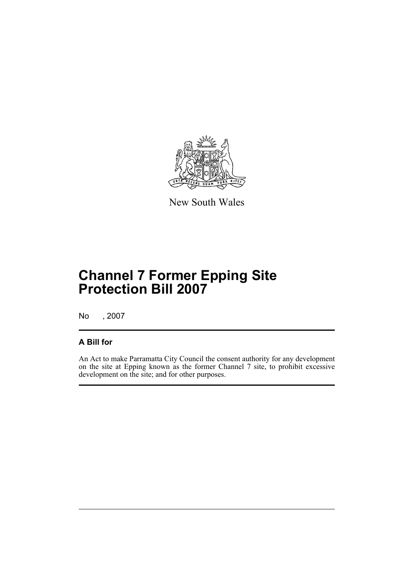

New South Wales

# **Channel 7 Former Epping Site Protection Bill 2007**

No , 2007

## **A Bill for**

An Act to make Parramatta City Council the consent authority for any development on the site at Epping known as the former Channel 7 site, to prohibit excessive development on the site; and for other purposes.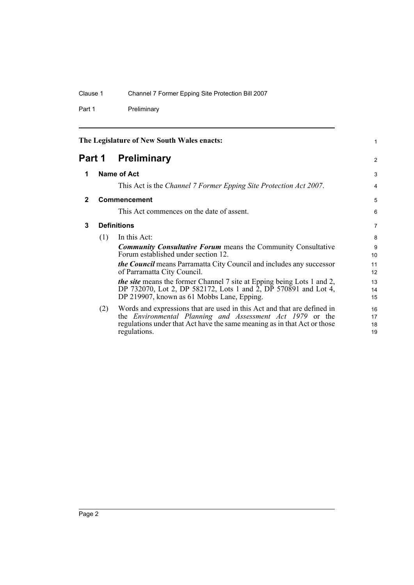Part 1 Preliminary

<span id="page-7-3"></span><span id="page-7-2"></span><span id="page-7-1"></span><span id="page-7-0"></span>

| The Legislature of New South Wales enacts: |                       |                                                                                                               | 1              |
|--------------------------------------------|-----------------------|---------------------------------------------------------------------------------------------------------------|----------------|
|                                            | Preliminary<br>Part 1 |                                                                                                               | 2              |
| 1                                          |                       | Name of Act                                                                                                   | 3              |
|                                            |                       | This Act is the Channel 7 Former Epping Site Protection Act 2007.                                             | $\overline{4}$ |
| $\mathbf{2}$                               |                       | Commencement                                                                                                  | 5              |
|                                            |                       | This Act commences on the date of assent.                                                                     | 6              |
| 3                                          |                       | <b>Definitions</b>                                                                                            | $\overline{7}$ |
|                                            | (1)                   | In this Act:                                                                                                  | 8              |
|                                            |                       | <b>Community Consultative Forum</b> means the Community Consultative<br>Forum established under section 12.   | 9<br>10        |
|                                            |                       | <i>the Council</i> means Parramatta City Council and includes any successor<br>of Parramatta City Council.    | 11<br>12       |
|                                            |                       | <i>the site</i> means the former Channel 7 site at Epping being Lots 1 and 2,                                 | 13             |
|                                            |                       | DP 732070, Lot 2, DP 582172, Lots 1 and 2, DP 570891 and Lot 4,<br>DP 219907, known as 61 Mobbs Lane, Epping. | 14<br>15       |
|                                            | (2)                   | Words and expressions that are used in this Act and that are defined in                                       | 16             |
|                                            |                       | the <i>Environmental Planning and Assessment Act 1979</i> or the                                              | 17             |
|                                            |                       | regulations under that Act have the same meaning as in that Act or those<br>regulations.                      | 18<br>19       |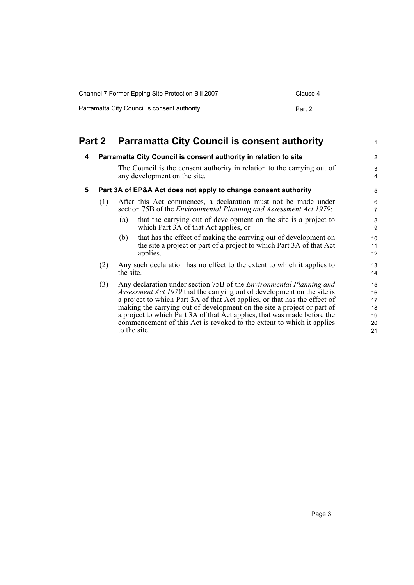| Channel 7 Former Epping Site Protection Bill 2007 | Clause 4 |
|---------------------------------------------------|----------|
| Parramatta City Council is consent authority      | Part 2   |

<span id="page-8-2"></span><span id="page-8-1"></span><span id="page-8-0"></span>

|   | <b>Part 2</b> | <b>Parramatta City Council is consent authority</b>                                                                                                                                                                                                                                                                                                                                                                                                                                       | $\mathbf{1}$                                |
|---|---------------|-------------------------------------------------------------------------------------------------------------------------------------------------------------------------------------------------------------------------------------------------------------------------------------------------------------------------------------------------------------------------------------------------------------------------------------------------------------------------------------------|---------------------------------------------|
| 4 |               | Parramatta City Council is consent authority in relation to site                                                                                                                                                                                                                                                                                                                                                                                                                          | $\overline{2}$                              |
|   |               | The Council is the consent authority in relation to the carrying out of<br>any development on the site.                                                                                                                                                                                                                                                                                                                                                                                   | $\ensuremath{\mathsf{3}}$<br>$\overline{4}$ |
| 5 |               | Part 3A of EP&A Act does not apply to change consent authority                                                                                                                                                                                                                                                                                                                                                                                                                            | 5                                           |
|   | (1)           | After this Act commences, a declaration must not be made under<br>section 75B of the <i>Environmental Planning and Assessment Act 1979</i> :                                                                                                                                                                                                                                                                                                                                              | 6<br>$\overline{7}$                         |
|   |               | that the carrying out of development on the site is a project to<br>(a)<br>which Part 3A of that Act applies, or                                                                                                                                                                                                                                                                                                                                                                          | 8<br>9                                      |
|   |               | that has the effect of making the carrying out of development on<br>(b)<br>the site a project or part of a project to which Part 3A of that Act<br>applies.                                                                                                                                                                                                                                                                                                                               | 10<br>11<br>12                              |
|   | (2)           | Any such declaration has no effect to the extent to which it applies to<br>the site.                                                                                                                                                                                                                                                                                                                                                                                                      | 13<br>14                                    |
|   | (3)           | Any declaration under section 75B of the <i>Environmental Planning and</i><br><i>Assessment Act 1979</i> that the carrying out of development on the site is<br>a project to which Part 3A of that Act applies, or that has the effect of<br>making the carrying out of development on the site a project or part of<br>a project to which Part 3A of that Act applies, that was made before the<br>commencement of this Act is revoked to the extent to which it applies<br>to the site. | 15<br>16<br>17<br>18<br>19<br>20<br>21      |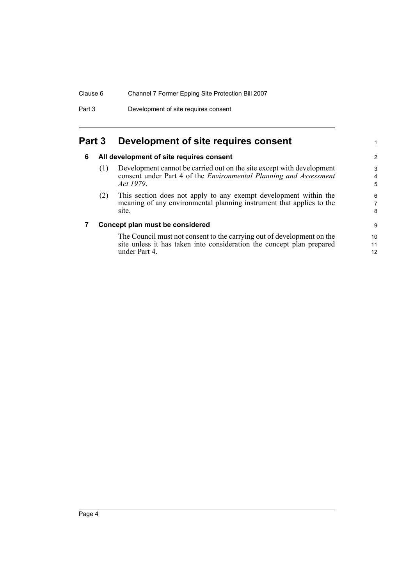Part 3 Development of site requires consent

## <span id="page-9-1"></span><span id="page-9-0"></span>**Part 3 Development of site requires consent**

### **6 All development of site requires consent**

(1) Development cannot be carried out on the site except with development consent under Part 4 of the *Environmental Planning and Assessment Act 1979*.

1

(2) This section does not apply to any exempt development within the meaning of any environmental planning instrument that applies to the site.

### <span id="page-9-2"></span>**7 Concept plan must be considered**

The Council must not consent to the carrying out of development on the site unless it has taken into consideration the concept plan prepared under Part 4.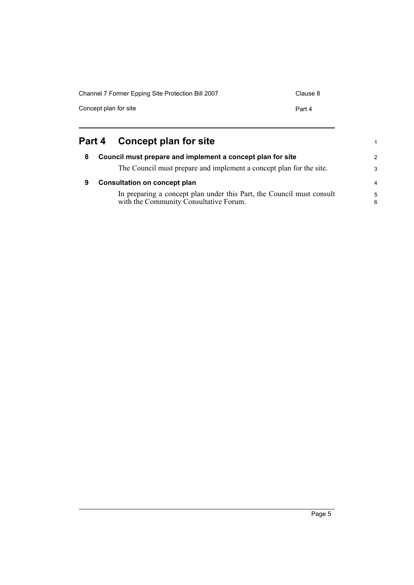| Channel 7 Former Epping Site Protection Bill 2007 | Clause 8 |
|---------------------------------------------------|----------|
| Concept plan for site                             | Part 4   |
|                                                   |          |

<span id="page-10-1"></span><span id="page-10-0"></span>

| Part 4 Concept plan for site |  |
|------------------------------|--|
|                              |  |

<span id="page-10-2"></span>

| 8 | Council must prepare and implement a concept plan for site                                                      | $\mathcal{P}$    |
|---|-----------------------------------------------------------------------------------------------------------------|------------------|
|   | The Council must prepare and implement a concept plan for the site.                                             | 3                |
| 9 | <b>Consultation on concept plan</b>                                                                             | $\overline{4}$   |
|   | In preparing a concept plan under this Part, the Council must consult<br>with the Community Consultative Forum. | $5^{\circ}$<br>6 |

1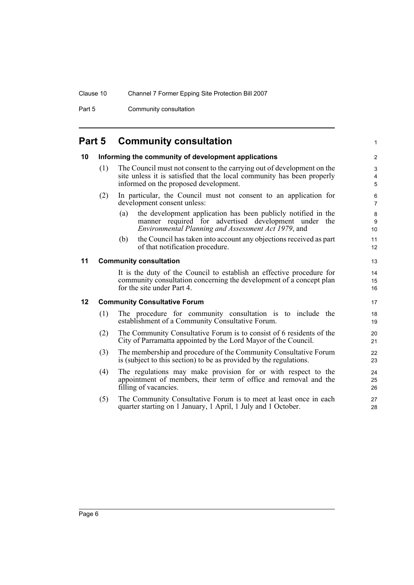Part 5 Community consultation

## <span id="page-11-0"></span>**Part 5 Community consultation**

<span id="page-11-3"></span><span id="page-11-2"></span><span id="page-11-1"></span>

| 10      |                                     | Informing the community of development applications                                                                                                                                       | $\overline{2}$                    |
|---------|-------------------------------------|-------------------------------------------------------------------------------------------------------------------------------------------------------------------------------------------|-----------------------------------|
|         | (1)                                 | The Council must not consent to the carrying out of development on the<br>site unless it is satisfied that the local community has been properly<br>informed on the proposed development. | 3<br>$\overline{4}$<br>5          |
|         | (2)                                 | In particular, the Council must not consent to an application for<br>development consent unless:                                                                                          | 6<br>$\overline{7}$               |
|         |                                     | the development application has been publicly notified in the<br>(a)<br>manner required for advertised development under the<br>Environmental Planning and Assessment Act 1979, and       | $\bf 8$<br>$\boldsymbol{9}$<br>10 |
|         |                                     | the Council has taken into account any objections received as part<br>(b)<br>of that notification procedure.                                                                              | 11<br>12                          |
| 11      |                                     | <b>Community consultation</b>                                                                                                                                                             | 13                                |
|         |                                     | It is the duty of the Council to establish an effective procedure for<br>community consultation concerning the development of a concept plan<br>for the site under Part 4.                | 14<br>15<br>16                    |
| $12 \,$ | <b>Community Consultative Forum</b> |                                                                                                                                                                                           |                                   |
|         | (1)                                 | The procedure for community consultation is to include the<br>establishment of a Community Consultative Forum.                                                                            | 18<br>19                          |
|         | (2)                                 | The Community Consultative Forum is to consist of 6 residents of the<br>City of Parramatta appointed by the Lord Mayor of the Council.                                                    | 20<br>21                          |
|         | (3)                                 | The membership and procedure of the Community Consultative Forum<br>is (subject to this section) to be as provided by the regulations.                                                    | 22<br>23                          |
|         | (4)                                 | The regulations may make provision for or with respect to the<br>appointment of members, their term of office and removal and the<br>filling of vacancies.                                | 24<br>25<br>26                    |
|         | (5)                                 | The Community Consultative Forum is to meet at least once in each<br>quarter starting on 1 January, 1 April, 1 July and 1 October.                                                        | 27<br>28                          |

1